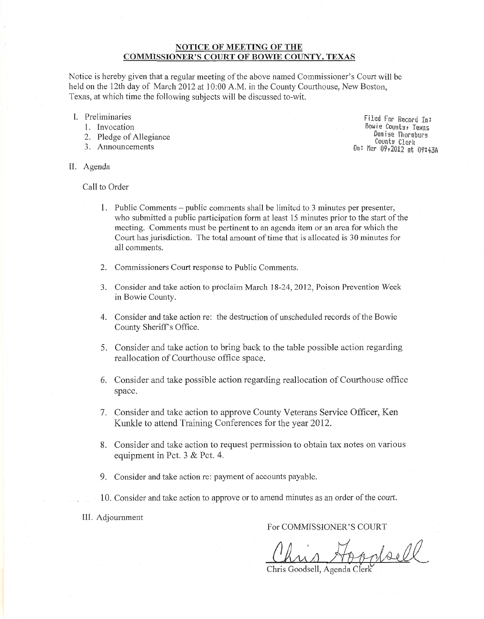# **NOTICE OF MEETING OF THE COMMISSIONER'S COURT OF BOWIE COUNTY, TEXAS**

Notice is hereby given that a regular meeting of the above named Commissioner's Court will be held on the 12th day of March 2012 at 10:00 A.M. in the County Courthouse, New Boston, Texas, at which time the following subjects will be discussed to-wit.

- I. Preliminaries
	- 1. Invocation
	- 2. Pledge of Allegiance
	- 3. Announcements

Filed Fnr Record In: Bowie County, Texas Denise Tiwrnburg Counts Clerk On: Mar 09:2012 at 09:43A

II. Agenda

Call to Order

- 1. Public Comments- public comments shall be limited to 3 minutes per presenter, who submitted a public participation form at least 15 minutes prior to the start of the meeting. Comments must be pertinent to an agenda item or an area for which the Court has jurisdiction. The total amount of time that is allocated is 30 minutes for all comments.
- 2. Commissioners Court response to Public Comments.
- 3. Consider and take action to proclaim March 18-24,2012, Poison Prevention Week in Bowie County.
- 4. Consider and take action re: the destruction of unscheduled records of the Bowie County Sheriff's Office.
- 5. Consider and take action to bring back to the table possible action regarding reallocation of Courthouse office space.
- 6. Consider and take possible action regarding reallocation of Courthouse office space.
- 7. Consider and take action to approve County Veterans Service Officer, Ken Kunkle to attend Training Conferences for the year 2012.
- 8. Consider and take action to request permission to obtain tax notes on various equipment in Pet. 3 & Pet. 4.
- 9. Consider and take action re: payment of accounts payable.
- 10. Consider and take action to approve or to amend minutes as an order of the court.

III. Adjournment

# For COMMISSIONER'S COURT

wheel

Chris Goodsell, Agenda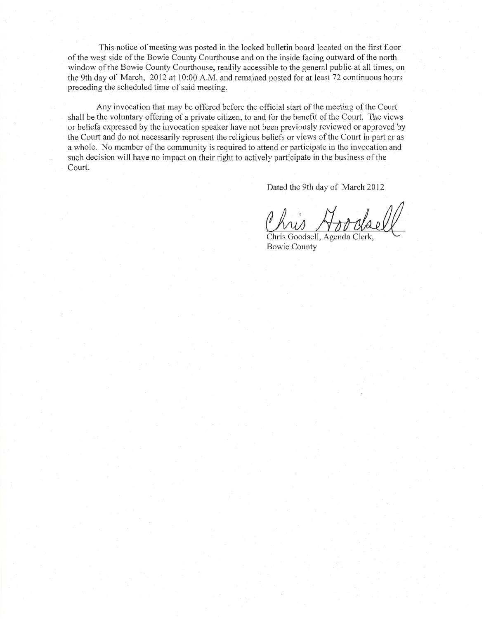This notice of meeting was posted in the locked bulletin board located on the first floor of the west side of the Bowie County Courthouse and on the inside facing outward of the north window of the Bowie County Courthouse, readily accessible to the general public at all times, on the 9th day of March, 2012 at 10:00 A.M. and remained posted for at least 72 continuous hours preceding the scheduled time of said meeting.

Any invocation that may be offered before the official start of the meeting of the Court shall be the voluntary offering of a private citizen, to and for the benefit of the Court. The views or beliefs expressed by the invocation speaker have not been previously reviewed or approved by the Court and do not necessarily represent the religious beliefs or views of the Court in part or as a whole. No member of the community is required to attend or participate in the invocation and such decision will have no impact on their right to actively participate in the business of the Court.

Dated the 9th day of March 2012

Chris Goodsell, Agenda Clerk,<br>Bowie County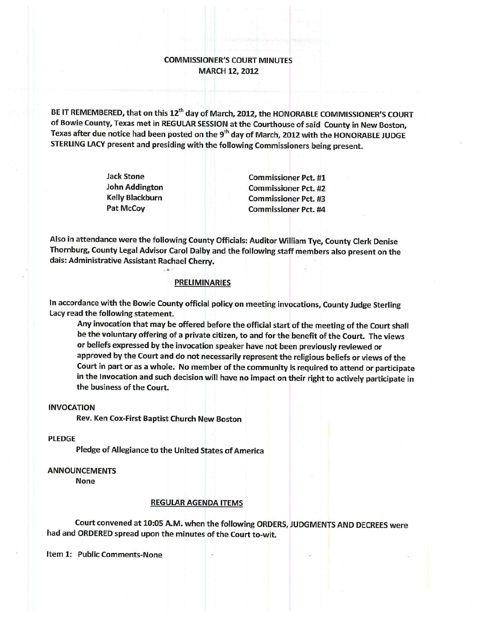# **COMMISSIONER'S COURT MINUTES MARCH 12, 2012**

BE IT REMEMBERED, that on this 12<sup>th</sup> day of March, 2012, the HONORABLE COMMISSIONER'S COURT of Bowie County, Texas met in REGULAR SESSION at the Courthouse of said County in New Boston, Texas after due notice had been posted on the 9<sup>th</sup> day of March, 2012 with the HONORABLE JUDGE STERLING LACY present and presiding with the following Commissioners being present.

| <b>Jack Stone</b>                               |  |
|-------------------------------------------------|--|
| <b>John Addington</b><br><b>Kelly Blackburn</b> |  |
|                                                 |  |
| Pat McCoy                                       |  |

**Commissioner Pct. #1 Commissioner Pct. #2 Commissioner Pct. #3 Commissioner Pct. #4** 

Also in attendance were the following County Officials: Auditor William Tye, County Clerk Denise Thornburg, County Legal Advisor Carol Dalby and the following staff members also present on the dais: Administrative Assistant Rachael Cherry.

## **PRELIMINARIES**

In accordance with the Bowie County official policy on meeting invocations, County Judge Sterling Lacy read the following statement.

Any invocation that may be offered before the official start of the meeting of the Court shall be the voluntary offering of a private citizen, to and for the benefit of the Court. The views or beliefs expressed by the invocation speaker have not been previously reviewed or approved by the Court and do not necessarily represent the religious beliefs or views of the Court in part or as a whole. No member of the community is required to attend or participate in the Invocation and such decision will have no impact on their right to actively participate in the business of the Court.

## **INVOCATION**

Rev. Ken Cox-First Baptist Church New Boston

#### **PLEDGE**

Pledge of Allegiance to the United States of America

## **ANNOUNCEMENTS**

**None** 

# **REGULAR AGENDA ITEMS**

Court convened at 10:05 A.M. when the following ORDERS, JUDGMENTS AND DECREES were had and ORDERED spread upon the minutes of the Court to-wit.

Item 1: Public Comments-None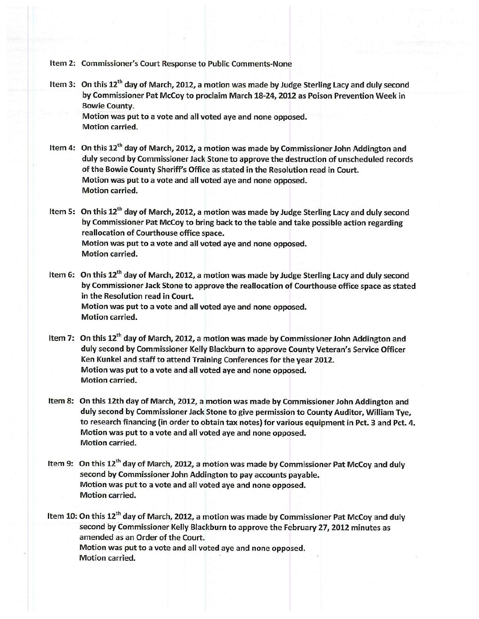Item 2: Commissioner's Court Response to Public Comments-None

Item 3: On this 12<sup>th</sup> day of March, 2012, a motion was made by Judge Sterling Lacy and duly second by Commissioner Pat McCoy to proclaim March 18-24, 2012 as Poison Prevention Week in **Bowie County.** Motion was put to a vote and all voted aye and none opposed.

**Motion carried.** 

Item 4: On this 12<sup>th</sup> day of March, 2012, a motion was made by Commissioner John Addington and duly second by Commissioner Jack Stone to approve the destruction of unscheduled records of the Bowie County Sheriff's Office as stated in the Resolution read in Court. Motion was put to a vote and all voted aye and none opposed. **Motion carried.** 

Item 5: On this 12<sup>th</sup> day of March, 2012, a motion was made by Judge Sterling Lacy and duly second by Commissioner Pat McCoy to bring back to the table and take possible action regarding reallocation of Courthouse office space. Motion was put to a vote and all voted aye and none opposed. **Motion carried.** 

- Item 6: On this 12<sup>th</sup> day of March, 2012, a motion was made by Judge Sterling Lacy and duly second by Commissioner Jack Stone to approve the reallocation of Courthouse office space as stated in the Resolution read in Court. Motion was put to a vote and all voted aye and none opposed. **Motion carried.**
- Item 7: On this 12<sup>th</sup> day of March, 2012, a motion was made by Commissioner John Addington and duly second by Commissioner Kelly Blackburn to approve County Veteran's Service Officer Ken Kunkel and staff to attend Training Conferences for the year 2012. Motion was put to a vote and all voted aye and none opposed. **Motion carried.**
- Item 8: On this 12th day of March, 2012, a motion was made by Commissioner John Addington and duly second by Commissioner Jack Stone to give permission to County Auditor, William Tye, to research financing (in order to obtain tax notes) for various equipment in Pct. 3 and Pct. 4. Motion was put to a vote and all voted aye and none opposed. **Motion carried.**
- Item 9: On this 12<sup>th</sup> day of March, 2012, a motion was made by Commissioner Pat McCoy and duly second by Commissioner John Addington to pay accounts payable. Motion was put to a vote and all voted aye and none opposed. **Motion carried.**

Item 10: On this 12<sup>th</sup> day of March, 2012, a motion was made by Commissioner Pat McCoy and duly second by Commissioner Kelly Blackburn to approve the February 27, 2012 minutes as amended as an Order of the Court. Motion was put to a vote and all voted aye and none opposed. **Motion carried.**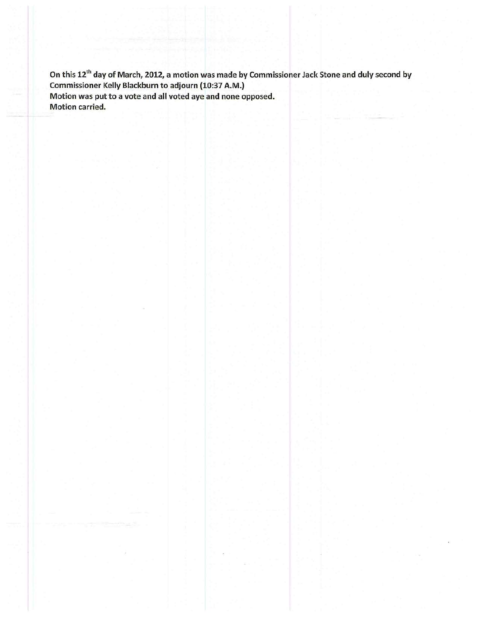On this 12<sup>th</sup> day of March, 2012, a motion was made by Commissioner Jack Stone and duly second by Commissioner Kelly Blackburn to adjourn (10:37 A.M.) Motion was put to a vote and all voted aye and none opposed. Motion carried.